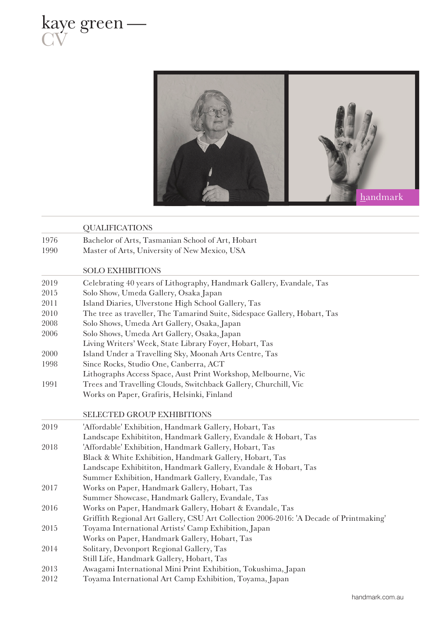



|      | <b>QUALIFICATIONS</b>                                                                  |
|------|----------------------------------------------------------------------------------------|
| 1976 | Bachelor of Arts, Tasmanian School of Art, Hobart                                      |
| 1990 | Master of Arts, University of New Mexico, USA                                          |
|      |                                                                                        |
|      | <b>SOLO EXHIBITIONS</b>                                                                |
| 2019 | Celebrating 40 years of Lithography, Handmark Gallery, Evandale, Tas                   |
| 2015 | Solo Show, Umeda Gallery, Osaka Japan                                                  |
| 2011 | Island Diaries, Ulverstone High School Gallery, Tas                                    |
| 2010 | The tree as traveller, The Tamarind Suite, Sidespace Gallery, Hobart, Tas              |
| 2008 | Solo Shows, Umeda Art Gallery, Osaka, Japan                                            |
| 2006 | Solo Shows, Umeda Art Gallery, Osaka, Japan                                            |
|      | Living Writers' Week, State Library Foyer, Hobart, Tas                                 |
| 2000 | Island Under a Travelling Sky, Moonah Arts Centre, Tas                                 |
| 1998 | Since Rocks, Studio One, Canberra, ACT                                                 |
|      | Lithographs Access Space, Aust Print Workshop, Melbourne, Vic                          |
| 1991 | Trees and Travelling Clouds, Switchback Gallery, Churchill, Vic                        |
|      | Works on Paper, Grafiris, Helsinki, Finland                                            |
|      | SELECTED GROUP EXHIBITIONS                                                             |
| 2019 | 'Affordable' Exhibition, Handmark Gallery, Hobart, Tas                                 |
|      | Landscape Exhibititon, Handmark Gallery, Evandale & Hobart, Tas                        |
| 2018 | 'Affordable' Exhibition, Handmark Gallery, Hobart, Tas                                 |
|      | Black & White Exhibition, Handmark Gallery, Hobart, Tas                                |
|      | Landscape Exhibititon, Handmark Gallery, Evandale & Hobart, Tas                        |
|      | Summer Exhibition, Handmark Gallery, Evandale, Tas                                     |
| 2017 | Works on Paper, Handmark Gallery, Hobart, Tas                                          |
|      | Summer Showcase, Handmark Gallery, Evandale, Tas                                       |
| 2016 | Works on Paper, Handmark Gallery, Hobart & Evandale, Tas                               |
|      | Griffith Regional Art Gallery, CSU Art Collection 2006-2016: 'A Decade of Printmaking' |
| 2015 | Toyama International Artists' Camp Exhibition, Japan                                   |
|      | Works on Paper, Handmark Gallery, Hobart, Tas                                          |
| 2014 | Solitary, Devonport Regional Gallery, Tas                                              |
|      | Still Life, Handmark Gallery, Hobart, Tas                                              |
| 2013 | Awagami International Mini Print Exhibition, Tokushima, Japan                          |
| 2012 | Toyama International Art Camp Exhibition, Toyama, Japan                                |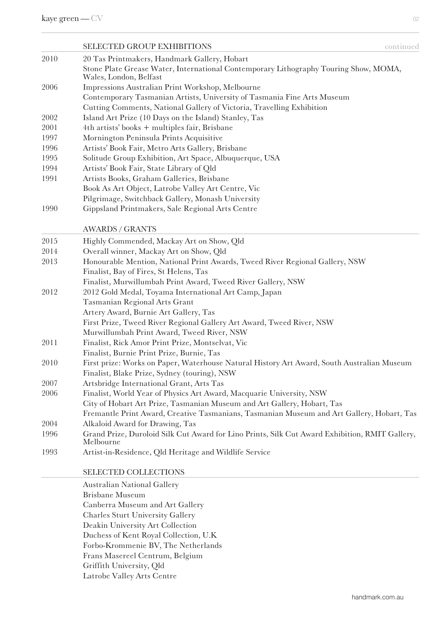|      | <b>SELECTED GROUP EXHIBITIONS</b><br>continued                                                                 |
|------|----------------------------------------------------------------------------------------------------------------|
| 2010 | 20 Tas Printmakers, Handmark Gallery, Hobart                                                                   |
|      | Stone Plate Grease Water, International Contemporary Lithography Touring Show, MOMA,<br>Wales, London, Belfast |
| 2006 | Impressions Australian Print Workshop, Melbourne                                                               |
|      | Contemporary Tasmanian Artists, University of Tasmania Fine Arts Museum                                        |
|      | Cutting Comments, National Gallery of Victoria, Travelling Exhibition                                          |
| 2002 | Island Art Prize (10 Days on the Island) Stanley, Tas                                                          |
| 2001 | 4th artists' books + multiples fair, Brisbane                                                                  |
| 1997 | Mornington Peninsula Prints Acquisitive                                                                        |
| 1996 | Artists' Book Fair, Metro Arts Gallery, Brisbane                                                               |
| 1995 | Solitude Group Exhibition, Art Space, Albuquerque, USA                                                         |
| 1994 | Artists' Book Fair, State Library of Qld                                                                       |
| 1991 | Artists Books, Graham Galleries, Brisbane                                                                      |
|      | Book As Art Object, Latrobe Valley Art Centre, Vic                                                             |
|      | Pilgrimage, Switchback Gallery, Monash University                                                              |
| 1990 | Gippsland Printmakers, Sale Regional Arts Centre                                                               |
|      | <b>AWARDS / GRANTS</b>                                                                                         |
| 2015 | Highly Commended, Mackay Art on Show, Qld                                                                      |
| 2014 | Overall winner, Mackay Art on Show, Qld                                                                        |
| 2013 | Honourable Mention, National Print Awards, Tweed River Regional Gallery, NSW                                   |
|      | Finalist, Bay of Fires, St Helens, Tas                                                                         |
|      | Finalist, Murwillumbah Print Award, Tweed River Gallery, NSW                                                   |
| 2012 | 2012 Gold Medal, Toyama International Art Camp, Japan                                                          |
|      | Tasmanian Regional Arts Grant                                                                                  |
|      | Artery Award, Burnie Art Gallery, Tas                                                                          |
|      | First Prize, Tweed River Regional Gallery Art Award, Tweed River, NSW                                          |
|      | Murwillumbah Print Award, Tweed River, NSW                                                                     |
| 2011 | Finalist, Rick Amor Print Prize, Montselvat, Vic                                                               |
|      | Finalist, Burnie Print Prize, Burnie, Tas                                                                      |
| 2010 | First prize: Works on Paper, Waterhouse Natural History Art Award, South Australian Museum                     |
|      | Finalist, Blake Prize, Sydney (touring), NSW                                                                   |
| 2007 | Artsbridge International Grant, Arts Tas                                                                       |
| 2006 | Finalist, World Year of Physics Art Award, Macquarie University, NSW                                           |
|      | City of Hobart Art Prize, Tasmanian Museum and Art Gallery, Hobart, Tas                                        |
|      | Fremantle Print Award, Creative Tasmanians, Tasmanian Museum and Art Gallery, Hobart, Tas                      |
| 2004 | Alkaloid Award for Drawing, Tas                                                                                |
| 1996 | Grand Prize, Duroloid Silk Cut Award for Lino Prints, Silk Cut Award Exhibition, RMIT Gallery,<br>Melbourne    |
| 1993 | Artist-in-Residence, Qld Heritage and Wildlife Service                                                         |
|      | SELECTED COLLECTIONS                                                                                           |

Australian National Gallery Brisbane Museum Canberra Museum and Art Gallery Charles Sturt University Gallery Deakin University Art Collection Duchess of Kent Royal Collection, U.K Forbo-Krommenie BV, The Netherlands Frans Masereel Centrum, Belgium Griffith University, Qld Latrobe Valley Arts Centre